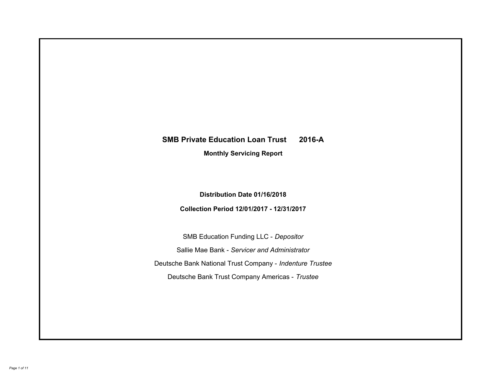# **SMB Private Education Loan Trust 2016-A Monthly Servicing Report**

# **Distribution Date 01/16/2018**

# **Collection Period 12/01/2017 - 12/31/2017**

SMB Education Funding LLC - *Depositor* Sallie Mae Bank - *Servicer and Administrator* Deutsche Bank National Trust Company - *Indenture Trustee* Deutsche Bank Trust Company Americas - *Trustee*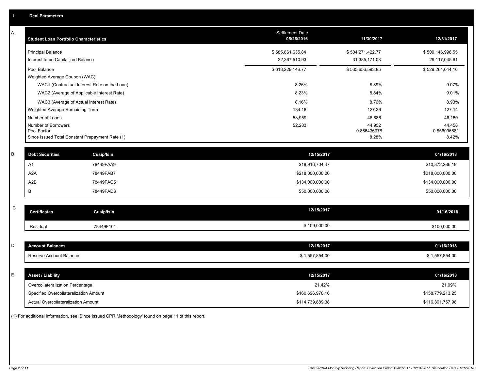| Α           | <b>Student Loan Portfolio Characteristics</b>   |                   | <b>Settlement Date</b><br>05/26/2016 | 11/30/2017            | 12/31/2017            |
|-------------|-------------------------------------------------|-------------------|--------------------------------------|-----------------------|-----------------------|
|             | <b>Principal Balance</b>                        |                   | \$585,861,635.84                     | \$504,271,422.77      | \$500,146,998.55      |
|             | Interest to be Capitalized Balance              |                   | 32,367,510.93                        | 31,385,171.08         | 29,117,045.61         |
|             | Pool Balance                                    |                   | \$618,229,146.77                     | \$535,656,593.85      | \$529,264,044.16      |
|             | Weighted Average Coupon (WAC)                   |                   |                                      |                       |                       |
|             | WAC1 (Contractual Interest Rate on the Loan)    |                   | 8.26%                                | 8.89%                 | 9.07%                 |
|             | WAC2 (Average of Applicable Interest Rate)      |                   | 8.23%                                | 8.84%                 | 9.01%                 |
|             | WAC3 (Average of Actual Interest Rate)          |                   | 8.16%                                | 8.76%                 | 8.93%                 |
|             | Weighted Average Remaining Term                 |                   | 134.18                               | 127.36                | 127.14                |
|             | Number of Loans                                 |                   | 53,959                               | 46,686                | 46,169                |
|             | Number of Borrowers<br>Pool Factor              |                   | 52,283                               | 44,952<br>0.866436978 | 44,458<br>0.856096881 |
|             | Since Issued Total Constant Prepayment Rate (1) |                   |                                      | 8.28%                 | 8.42%                 |
|             |                                                 |                   |                                      |                       |                       |
| B           | <b>Debt Securities</b>                          | Cusip/Isin        | 12/15/2017                           |                       | 01/16/2018            |
|             | A <sub>1</sub>                                  | 78449FAA9         | \$18,916,704.47                      |                       | \$10,872,286.18       |
|             | A <sub>2</sub> A                                | 78449FAB7         | \$218,000,000.00                     |                       | \$218,000,000.00      |
|             | A2B                                             | 78449FAC5         | \$134,000,000.00                     |                       | \$134,000,000.00      |
|             | В                                               | 78449FAD3         | \$50,000,000.00                      |                       | \$50,000,000.00       |
|             |                                                 |                   |                                      |                       |                       |
| $\mathsf C$ | <b>Certificates</b>                             | <b>Cusip/Isin</b> | 12/15/2017                           |                       | 01/16/2018            |
|             | Residual                                        | 78449F101         | \$100,000.00                         |                       | \$100,000.00          |
|             |                                                 |                   |                                      |                       |                       |
| D           | <b>Account Balances</b>                         |                   | 12/15/2017                           |                       | 01/16/2018            |
|             | Reserve Account Balance                         |                   | \$1,557,854.00                       |                       | \$1,557,854.00        |
|             |                                                 |                   |                                      |                       |                       |
| Е           | <b>Asset / Liability</b>                        |                   | 12/15/2017                           |                       | 01/16/2018            |
|             | Overcollateralization Percentage                |                   | 21.42%                               |                       | 21.99%                |
|             | Specified Overcollateralization Amount          |                   | \$160,696,978.16                     |                       | \$158,779,213.25      |
|             | Actual Overcollateralization Amount             |                   | \$114,739,889.38                     |                       | \$116,391,757.98      |

(1) For additional information, see 'Since Issued CPR Methodology' found on page 11 of this report.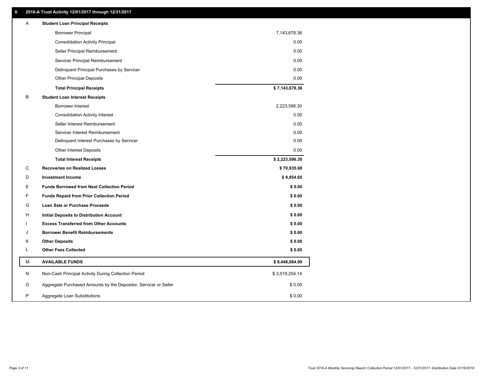# **II. 2016-A Trust Activity 12/01/2017 through 12/31/2017**

| Α            | <b>Student Loan Principal Receipts</b>                           |                |  |
|--------------|------------------------------------------------------------------|----------------|--|
|              | <b>Borrower Principal</b>                                        | 7,143,678.36   |  |
|              | <b>Consolidation Activity Principal</b>                          | 0.00           |  |
|              | Seller Principal Reimbursement                                   | 0.00           |  |
|              | Servicer Principal Reimbursement                                 | 0.00           |  |
|              | Delinquent Principal Purchases by Servicer                       | 0.00           |  |
|              | <b>Other Principal Deposits</b>                                  | 0.00           |  |
|              | <b>Total Principal Receipts</b>                                  | \$7,143,678.36 |  |
| B            | <b>Student Loan Interest Receipts</b>                            |                |  |
|              | Borrower Interest                                                | 2,223,596.30   |  |
|              | <b>Consolidation Activity Interest</b>                           | 0.00           |  |
|              | Seller Interest Reimbursement                                    | 0.00           |  |
|              | Servicer Interest Reimbursement                                  | 0.00           |  |
|              | Delinquent Interest Purchases by Servicer                        | 0.00           |  |
|              | <b>Other Interest Deposits</b>                                   | 0.00           |  |
|              | <b>Total Interest Receipts</b>                                   | \$2,223,596.30 |  |
| C            | <b>Recoveries on Realized Losses</b>                             | \$70,935.68    |  |
| D            | <b>Investment Income</b>                                         | \$9,854.65     |  |
| E            | <b>Funds Borrowed from Next Collection Period</b>                | \$0.00         |  |
| F            | <b>Funds Repaid from Prior Collection Period</b>                 | \$0.00         |  |
| G            | Loan Sale or Purchase Proceeds                                   | \$0.00         |  |
| н            | Initial Deposits to Distribution Account                         | \$0.00         |  |
|              | <b>Excess Transferred from Other Accounts</b>                    | \$0.00         |  |
| J            | <b>Borrower Benefit Reimbursements</b>                           | \$0.00         |  |
| Κ            | <b>Other Deposits</b>                                            | \$0.00         |  |
| L            | <b>Other Fees Collected</b>                                      | \$0.00         |  |
| M            | <b>AVAILABLE FUNDS</b>                                           | \$9,448,064.99 |  |
| N            | Non-Cash Principal Activity During Collection Period             | \$3,019,254.14 |  |
| O            | Aggregate Purchased Amounts by the Depositor, Servicer or Seller | \$0.00         |  |
| $\mathsf{P}$ | Aggregate Loan Substitutions                                     | \$0.00         |  |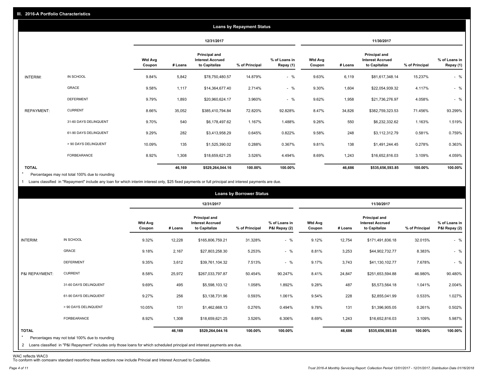|                   |                       |                          |         |                                                           | <b>Loans by Repayment Status</b> |                            |                          |         |                                                                  |                |                            |
|-------------------|-----------------------|--------------------------|---------|-----------------------------------------------------------|----------------------------------|----------------------------|--------------------------|---------|------------------------------------------------------------------|----------------|----------------------------|
|                   |                       |                          |         | 12/31/2017                                                |                                  |                            |                          |         | 11/30/2017                                                       |                |                            |
|                   |                       | <b>Wtd Avg</b><br>Coupon | # Loans | Principal and<br><b>Interest Accrued</b><br>to Capitalize | % of Principal                   | % of Loans in<br>Repay (1) | <b>Wtd Avg</b><br>Coupon | # Loans | <b>Principal and</b><br><b>Interest Accrued</b><br>to Capitalize | % of Principal | % of Loans in<br>Repay (1) |
| INTERIM:          | IN SCHOOL             | 9.84%                    | 5,842   | \$78,750,480.57                                           | 14.879%                          | $-$ %                      | 9.63%                    | 6,119   | \$81,617,348.14                                                  | 15.237%        | $-$ %                      |
|                   | GRACE                 | 9.58%                    | 1,117   | \$14,364,677.40                                           | 2.714%                           | $-$ %                      | 9.30%                    | 1,604   | \$22,054,939.32                                                  | 4.117%         | $-$ %                      |
|                   | <b>DEFERMENT</b>      | 9.79%                    | 1,893   | \$20,960,624.17                                           | 3.960%                           | $-$ %                      | 9.62%                    | 1,958   | \$21,736,276.97                                                  | 4.058%         | $-$ %                      |
| <b>REPAYMENT:</b> | <b>CURRENT</b>        | 8.66%                    | 35,052  | \$385,410,794.84                                          | 72.820%                          | 92.828%                    | 8.47%                    | 34,826  | \$382,759,323.53                                                 | 71.456%        | 93.299%                    |
|                   | 31-60 DAYS DELINQUENT | 9.70%                    | 540     | \$6,178,497.62                                            | 1.167%                           | 1.488%                     | 9.26%                    | 550     | \$6,232,332.62                                                   | 1.163%         | 1.519%                     |
|                   | 61-90 DAYS DELINQUENT | 9.29%                    | 282     | \$3,413,958.29                                            | 0.645%                           | 0.822%                     | 9.58%                    | 248     | \$3,112,312.79                                                   | 0.581%         | 0.759%                     |
|                   | > 90 DAYS DELINQUENT  | 10.09%                   | 135     | \$1,525,390.02                                            | 0.288%                           | 0.367%                     | 9.81%                    | 138     | \$1,491,244.45                                                   | 0.278%         | 0.363%                     |
|                   | <b>FORBEARANCE</b>    | 8.92%                    | 1,308   | \$18,659,621.25                                           | 3.526%                           | 4.494%                     | 8.69%                    | 1,243   | \$16,652,816.03                                                  | 3.109%         | 4.059%                     |
| <b>TOTAL</b>      |                       |                          | 46,169  | \$529,264,044.16                                          | 100.00%                          | 100.00%                    |                          | 46,686  | \$535,656,593.85                                                 | 100.00%        | 100.00%                    |

Percentages may not total 100% due to rounding \*

1 Loans classified in "Repayment" include any loan for which interim interest only, \$25 fixed payments or full principal and interest payments are due.

|                                                                                                                                                                                                           |                          |         |                                                                  | <b>Loans by Borrower Status</b> |                                |                          |         |                                                                  |                |                                |
|-----------------------------------------------------------------------------------------------------------------------------------------------------------------------------------------------------------|--------------------------|---------|------------------------------------------------------------------|---------------------------------|--------------------------------|--------------------------|---------|------------------------------------------------------------------|----------------|--------------------------------|
|                                                                                                                                                                                                           |                          |         | 12/31/2017                                                       |                                 |                                |                          |         | 11/30/2017                                                       |                |                                |
|                                                                                                                                                                                                           | <b>Wtd Avg</b><br>Coupon | # Loans | <b>Principal and</b><br><b>Interest Accrued</b><br>to Capitalize | % of Principal                  | % of Loans in<br>P&I Repay (2) | <b>Wtd Avg</b><br>Coupon | # Loans | <b>Principal and</b><br><b>Interest Accrued</b><br>to Capitalize | % of Principal | % of Loans in<br>P&I Repay (2) |
| IN SCHOOL<br>INTERIM:                                                                                                                                                                                     | 9.32%                    | 12,228  | \$165,806,759.21                                                 | 31.328%                         | $-$ %                          | 9.12%                    | 12,754  | \$171,491,836.18                                                 | 32.015%        | $-$ %                          |
| <b>GRACE</b>                                                                                                                                                                                              | 9.18%                    | 2,167   | \$27,803,258.30                                                  | 5.253%                          | $-$ %                          | 8.81%                    | 3,253   | \$44,902,732.77                                                  | 8.383%         | $-$ %                          |
| <b>DEFERMENT</b>                                                                                                                                                                                          | 9.35%                    | 3,612   | \$39,761,104.32                                                  | 7.513%                          | $-$ %                          | 9.17%                    | 3,743   | \$41,130,102.77                                                  | 7.678%         | $-$ %                          |
| <b>CURRENT</b><br>P&I REPAYMENT:                                                                                                                                                                          | 8.58%                    | 25,972  | \$267,033,797.87                                                 | 50.454%                         | 90.247%                        | 8.41%                    | 24,847  | \$251,653,594.88                                                 | 46.980%        | 90.480%                        |
| 31-60 DAYS DELINQUENT                                                                                                                                                                                     | 9.69%                    | 495     | \$5,598,103.12                                                   | 1.058%                          | 1.892%                         | 9.28%                    | 487     | \$5,573,564.18                                                   | 1.041%         | 2.004%                         |
| 61-90 DAYS DELINQUENT                                                                                                                                                                                     | 9.27%                    | 256     | \$3,138,731.96                                                   | 0.593%                          | 1.061%                         | 9.54%                    | 228     | \$2,855,041.99                                                   | 0.533%         | 1.027%                         |
| > 90 DAYS DELINQUENT                                                                                                                                                                                      | 10.05%                   | 131     | \$1,462,668.13                                                   | 0.276%                          | 0.494%                         | 9.78%                    | 131     | \$1,396,905.05                                                   | 0.261%         | 0.502%                         |
| <b>FORBEARANCE</b>                                                                                                                                                                                        | 8.92%                    | 1,308   | \$18,659,621.25                                                  | 3.526%                          | 6.306%                         | 8.69%                    | 1,243   | \$16,652,816.03                                                  | 3.109%         | 5.987%                         |
| <b>TOTAL</b><br>$\star$<br>Percentages may not total 100% due to rounding<br>2 Loans classified in "P&I Repayment" includes only those loans for which scheduled principal and interest payments are due. |                          | 46,169  | \$529,264,044.16                                                 | 100.00%                         | 100.00%                        |                          | 46,686  | \$535,656,593.85                                                 | 100.00%        | 100.00%                        |

WAC reflects WAC3 To conform with company standard reporting these sections now include Princial and Interest Accrued to Capitalize.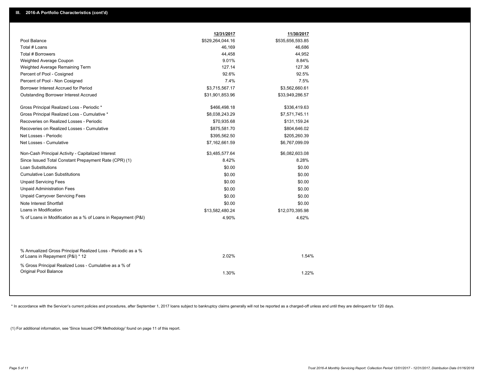|                                                                                                  | 12/31/2017       | 11/30/2017       |  |
|--------------------------------------------------------------------------------------------------|------------------|------------------|--|
| Pool Balance                                                                                     | \$529,264,044.16 | \$535,656,593.85 |  |
| Total # Loans                                                                                    | 46,169           | 46,686           |  |
| Total # Borrowers                                                                                | 44,458           | 44,952           |  |
| Weighted Average Coupon                                                                          | 9.01%            | 8.84%            |  |
| Weighted Average Remaining Term                                                                  | 127.14           | 127.36           |  |
| Percent of Pool - Cosigned                                                                       | 92.6%            | 92.5%            |  |
| Percent of Pool - Non Cosigned                                                                   | 7.4%             | 7.5%             |  |
| Borrower Interest Accrued for Period                                                             | \$3,715,567.17   | \$3,562,660.61   |  |
| Outstanding Borrower Interest Accrued                                                            | \$31,901,853.96  | \$33,949,286.57  |  |
| Gross Principal Realized Loss - Periodic *                                                       | \$466,498.18     | \$336,419.63     |  |
| Gross Principal Realized Loss - Cumulative *                                                     | \$8,038,243.29   | \$7,571,745.11   |  |
| Recoveries on Realized Losses - Periodic                                                         | \$70,935.68      | \$131,159.24     |  |
| Recoveries on Realized Losses - Cumulative                                                       | \$875,581.70     | \$804,646.02     |  |
| Net Losses - Periodic                                                                            | \$395,562.50     | \$205,260.39     |  |
| Net Losses - Cumulative                                                                          | \$7,162,661.59   | \$6,767,099.09   |  |
| Non-Cash Principal Activity - Capitalized Interest                                               | \$3,485,577.64   | \$6,082,603.08   |  |
| Since Issued Total Constant Prepayment Rate (CPR) (1)                                            | 8.42%            | 8.28%            |  |
| <b>Loan Substitutions</b>                                                                        | \$0.00           | \$0.00           |  |
| <b>Cumulative Loan Substitutions</b>                                                             | \$0.00           | \$0.00           |  |
| <b>Unpaid Servicing Fees</b>                                                                     | \$0.00           | \$0.00           |  |
| <b>Unpaid Administration Fees</b>                                                                | \$0.00           | \$0.00           |  |
| <b>Unpaid Carryover Servicing Fees</b>                                                           | \$0.00           | \$0.00           |  |
| Note Interest Shortfall                                                                          | \$0.00           | \$0.00           |  |
| Loans in Modification                                                                            | \$13,582,480.24  | \$12,070,395.98  |  |
| % of Loans in Modification as a % of Loans in Repayment (P&I)                                    | 4.90%            | 4.62%            |  |
|                                                                                                  |                  |                  |  |
| % Annualized Gross Principal Realized Loss - Periodic as a %<br>of Loans in Repayment (P&I) * 12 | 2.02%            | 1.54%            |  |
| % Gross Principal Realized Loss - Cumulative as a % of                                           |                  |                  |  |
| Original Pool Balance                                                                            | 1.30%            | 1.22%            |  |
|                                                                                                  |                  |                  |  |

\* In accordance with the Servicer's current policies and procedures, after September 1, 2017 loans subject to bankruptcy claims generally will not be reported as a charged-off unless and until they are delinquent for 120 d

(1) For additional information, see 'Since Issued CPR Methodology' found on page 11 of this report.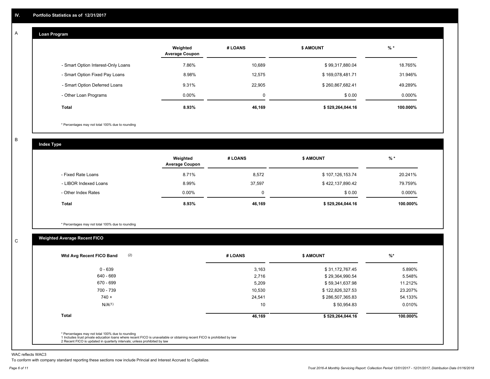#### **Loan Program**  A

|                                    | Weighted<br><b>Average Coupon</b> | # LOANS     | <b>\$ AMOUNT</b> | $%$ *     |
|------------------------------------|-----------------------------------|-------------|------------------|-----------|
| - Smart Option Interest-Only Loans | 7.86%                             | 10,689      | \$99,317,880.04  | 18.765%   |
| - Smart Option Fixed Pay Loans     | 8.98%                             | 12,575      | \$169,078,481.71 | 31.946%   |
| - Smart Option Deferred Loans      | 9.31%                             | 22,905      | \$260,867,682.41 | 49.289%   |
| - Other Loan Programs              | $0.00\%$                          | $\mathbf 0$ | \$0.00           | $0.000\%$ |
| <b>Total</b>                       | 8.93%                             | 46,169      | \$529,264,044.16 | 100.000%  |

\* Percentages may not total 100% due to rounding

B

C

**Index Type**

|                       | Weighted<br><b>Average Coupon</b> | # LOANS     | <b>\$ AMOUNT</b> | $%$ *     |
|-----------------------|-----------------------------------|-------------|------------------|-----------|
| - Fixed Rate Loans    | 8.71%                             | 8,572       | \$107,126,153.74 | 20.241%   |
| - LIBOR Indexed Loans | 8.99%                             | 37.597      | \$422,137,890.42 | 79.759%   |
| - Other Index Rates   | $0.00\%$                          | $\mathbf 0$ | \$0.00           | $0.000\%$ |
| Total                 | 8.93%                             | 46,169      | \$529,264,044.16 | 100.000%  |

\* Percentages may not total 100% due to rounding

# **Weighted Average Recent FICO**

| $0 - 639$<br>640 - 669<br>670 - 699<br>700 - 739 | 3,163<br>2,716<br>5,209 | \$31,172,767.45<br>\$29,364,990.54 | 5.890%<br>5.548% |
|--------------------------------------------------|-------------------------|------------------------------------|------------------|
|                                                  |                         |                                    |                  |
|                                                  |                         |                                    |                  |
|                                                  |                         | \$59,341,637.98                    | 11.212%          |
|                                                  | 10,530                  | \$122,826,327.53                   | 23.207%          |
| $740 +$                                          | 24,541                  | \$286,507,365.83                   | 54.133%          |
| N/A <sup>(1)</sup>                               | 10                      | \$50,954.83                        | 0.010%           |
| <b>Total</b>                                     | 46,169                  | \$529,264,044.16                   | 100.000%         |

WAC reflects WAC3

To conform with company standard reporting these sections now include Princial and Interest Accrued to Capitalize.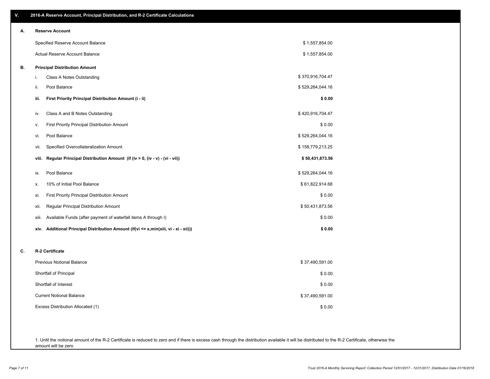| <b>Reserve Account</b><br>А.<br><b>Principal Distribution Amount</b><br>В.<br>i.<br>Pool Balance<br>ii.<br>iii.<br>iv.<br>۷.<br>Pool Balance<br>vi.<br>vii.<br>viii.<br>Pool Balance<br>ix.<br>х.<br>xi.<br>xii.<br>xiii. | Specified Reserve Account Balance<br><b>Actual Reserve Account Balance</b><br>Class A Notes Outstanding<br>First Priority Principal Distribution Amount (i - ii)<br>Class A and B Notes Outstanding<br>First Priority Principal Distribution Amount<br>Specified Overcollateralization Amount | \$1,557,854.00<br>\$1,557,854.00<br>\$370,916,704.47<br>\$529,264,044.16<br>\$0.00<br>\$420,916,704.47<br>\$0.00<br>\$529,264,044.16 |
|---------------------------------------------------------------------------------------------------------------------------------------------------------------------------------------------------------------------------|-----------------------------------------------------------------------------------------------------------------------------------------------------------------------------------------------------------------------------------------------------------------------------------------------|--------------------------------------------------------------------------------------------------------------------------------------|
|                                                                                                                                                                                                                           |                                                                                                                                                                                                                                                                                               |                                                                                                                                      |
|                                                                                                                                                                                                                           |                                                                                                                                                                                                                                                                                               |                                                                                                                                      |
|                                                                                                                                                                                                                           |                                                                                                                                                                                                                                                                                               |                                                                                                                                      |
|                                                                                                                                                                                                                           |                                                                                                                                                                                                                                                                                               |                                                                                                                                      |
|                                                                                                                                                                                                                           |                                                                                                                                                                                                                                                                                               |                                                                                                                                      |
|                                                                                                                                                                                                                           |                                                                                                                                                                                                                                                                                               |                                                                                                                                      |
|                                                                                                                                                                                                                           |                                                                                                                                                                                                                                                                                               |                                                                                                                                      |
|                                                                                                                                                                                                                           |                                                                                                                                                                                                                                                                                               |                                                                                                                                      |
|                                                                                                                                                                                                                           |                                                                                                                                                                                                                                                                                               |                                                                                                                                      |
|                                                                                                                                                                                                                           |                                                                                                                                                                                                                                                                                               |                                                                                                                                      |
|                                                                                                                                                                                                                           |                                                                                                                                                                                                                                                                                               | \$158,779,213.25                                                                                                                     |
|                                                                                                                                                                                                                           | Regular Principal Distribution Amount (if (iv > 0, (iv - v) - (vi - vii))                                                                                                                                                                                                                     | \$50,431,873.56                                                                                                                      |
|                                                                                                                                                                                                                           |                                                                                                                                                                                                                                                                                               | \$529,264,044.16                                                                                                                     |
|                                                                                                                                                                                                                           | 10% of Initial Pool Balance                                                                                                                                                                                                                                                                   | \$61,822,914.68                                                                                                                      |
|                                                                                                                                                                                                                           | First Priority Principal Distribution Amount                                                                                                                                                                                                                                                  | \$0.00                                                                                                                               |
|                                                                                                                                                                                                                           | Regular Principal Distribution Amount                                                                                                                                                                                                                                                         | \$50,431,873.56                                                                                                                      |
|                                                                                                                                                                                                                           | Available Funds (after payment of waterfall items A through I)                                                                                                                                                                                                                                | \$0.00                                                                                                                               |
|                                                                                                                                                                                                                           | xiv. Additional Principal Distribution Amount (if(vi <= x,min(xiii, vi - xi - xii)))                                                                                                                                                                                                          | \$0.00                                                                                                                               |
| C.<br>R-2 Certificate                                                                                                                                                                                                     |                                                                                                                                                                                                                                                                                               |                                                                                                                                      |
| Previous Notional Balance                                                                                                                                                                                                 |                                                                                                                                                                                                                                                                                               | \$37,490,591.00                                                                                                                      |
| Shortfall of Principal                                                                                                                                                                                                    |                                                                                                                                                                                                                                                                                               | \$0.00                                                                                                                               |
| Shortfall of Interest                                                                                                                                                                                                     |                                                                                                                                                                                                                                                                                               | \$0.00                                                                                                                               |
| <b>Current Notional Balance</b>                                                                                                                                                                                           |                                                                                                                                                                                                                                                                                               | \$37,490,591.00                                                                                                                      |
| Excess Distribution Allocated (1)                                                                                                                                                                                         |                                                                                                                                                                                                                                                                                               | \$0.00                                                                                                                               |

1. Until the notional amount of the R-2 Certificate is reduced to zero and if there is excess cash through the distribution available it will be distributed to the R-2 Certificate, otherwise the amount will be zero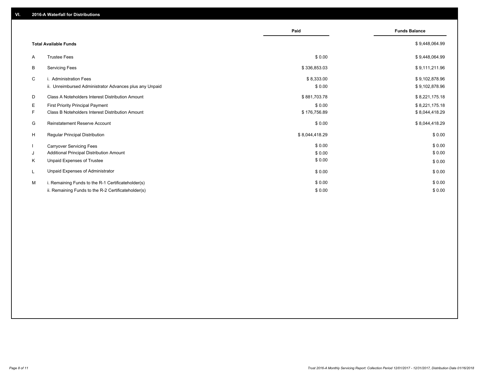|    |                                                         | Paid           | <b>Funds Balance</b> |
|----|---------------------------------------------------------|----------------|----------------------|
|    | <b>Total Available Funds</b>                            |                | \$9,448,064.99       |
| A  | <b>Trustee Fees</b>                                     | \$0.00         | \$9,448,064.99       |
| B  | <b>Servicing Fees</b>                                   | \$336,853.03   | \$9,111,211.96       |
| C  | i. Administration Fees                                  | \$8,333.00     | \$9,102,878.96       |
|    | ii. Unreimbursed Administrator Advances plus any Unpaid | \$0.00         | \$9,102,878.96       |
| D  | Class A Noteholders Interest Distribution Amount        | \$881,703.78   | \$8,221,175.18       |
| Е  | <b>First Priority Principal Payment</b>                 | \$0.00         | \$8,221,175.18       |
| F. | Class B Noteholders Interest Distribution Amount        | \$176,756.89   | \$8,044,418.29       |
| G  | Reinstatement Reserve Account                           | \$0.00         | \$8,044,418.29       |
| H  | <b>Regular Principal Distribution</b>                   | \$8,044,418.29 | \$0.00               |
|    | <b>Carryover Servicing Fees</b>                         | \$0.00         | \$0.00               |
| J  | Additional Principal Distribution Amount                | \$0.00         | \$0.00               |
| K  | Unpaid Expenses of Trustee                              | \$0.00         | \$0.00               |
|    | Unpaid Expenses of Administrator                        | \$0.00         | \$0.00               |
| м  | i. Remaining Funds to the R-1 Certificateholder(s)      | \$0.00         | \$0.00               |
|    | ii. Remaining Funds to the R-2 Certificateholder(s)     | \$0.00         | \$0.00               |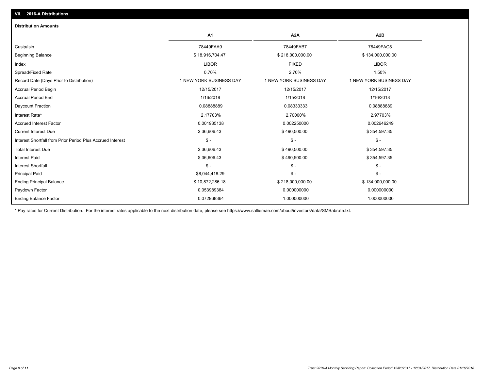| <b>Distribution Amounts</b>                                |                         |                         |                         |
|------------------------------------------------------------|-------------------------|-------------------------|-------------------------|
|                                                            | A <sub>1</sub>          | A <sub>2</sub> A        | A2B                     |
| Cusip/Isin                                                 | 78449FAA9               | 78449FAB7               | 78449FAC5               |
| <b>Beginning Balance</b>                                   | \$18,916,704.47         | \$218,000,000.00        | \$134,000,000.00        |
| Index                                                      | <b>LIBOR</b>            | <b>FIXED</b>            | <b>LIBOR</b>            |
| Spread/Fixed Rate                                          | 0.70%                   | 2.70%                   | 1.50%                   |
| Record Date (Days Prior to Distribution)                   | 1 NEW YORK BUSINESS DAY | 1 NEW YORK BUSINESS DAY | 1 NEW YORK BUSINESS DAY |
| <b>Accrual Period Begin</b>                                | 12/15/2017              | 12/15/2017              | 12/15/2017              |
| <b>Accrual Period End</b>                                  | 1/16/2018               | 1/15/2018               | 1/16/2018               |
| Daycount Fraction                                          | 0.08888889              | 0.08333333              | 0.08888889              |
| Interest Rate*                                             | 2.17703%                | 2.70000%                | 2.97703%                |
| <b>Accrued Interest Factor</b>                             | 0.001935138             | 0.002250000             | 0.002646249             |
| <b>Current Interest Due</b>                                | \$36,606.43             | \$490,500.00            | \$354,597.35            |
| Interest Shortfall from Prior Period Plus Accrued Interest | $\mathsf{\$}$ -         | $\mathbb{S}$ -          | $\mathcal{S}$ -         |
| <b>Total Interest Due</b>                                  | \$36,606.43             | \$490,500.00            | \$354,597.35            |
| <b>Interest Paid</b>                                       | \$36,606.43             | \$490,500.00            | \$354,597.35            |
| <b>Interest Shortfall</b>                                  | $\mathsf{\$}$ -         | $\mathbb{S}$ -          | $\frac{1}{2}$           |
| <b>Principal Paid</b>                                      | \$8,044,418.29          | $\mathcal{S}$ -         | $\mathcal{S}$ -         |
| <b>Ending Principal Balance</b>                            | \$10,872,286.18         | \$218,000,000.00        | \$134,000,000.00        |
| Paydown Factor                                             | 0.053989384             | 0.000000000             | 0.000000000             |
| <b>Ending Balance Factor</b>                               | 0.072968364             | 1.000000000             | 1.000000000             |

\* Pay rates for Current Distribution. For the interest rates applicable to the next distribution date, please see https://www.salliemae.com/about/investors/data/SMBabrate.txt.

**VII. 2016-A Distributions**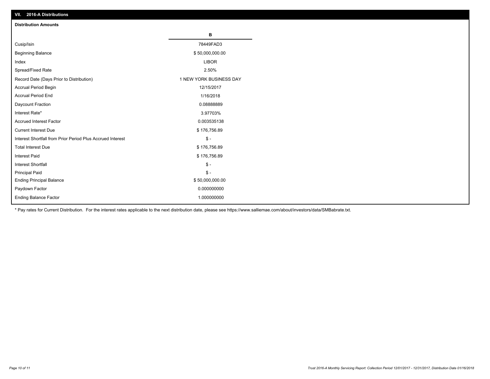| VII. 2016-A Distributions                                  |                         |
|------------------------------------------------------------|-------------------------|
| <b>Distribution Amounts</b>                                |                         |
|                                                            | в                       |
| Cusip/Isin                                                 | 78449FAD3               |
| <b>Beginning Balance</b>                                   | \$50,000,000.00         |
| Index                                                      | <b>LIBOR</b>            |
| Spread/Fixed Rate                                          | 2.50%                   |
| Record Date (Days Prior to Distribution)                   | 1 NEW YORK BUSINESS DAY |
| Accrual Period Begin                                       | 12/15/2017              |
| <b>Accrual Period End</b>                                  | 1/16/2018               |
| Daycount Fraction                                          | 0.0888889               |
| Interest Rate*                                             | 3.97703%                |
| <b>Accrued Interest Factor</b>                             | 0.003535138             |
| <b>Current Interest Due</b>                                | \$176,756.89            |
| Interest Shortfall from Prior Period Plus Accrued Interest | $$ -$                   |
| <b>Total Interest Due</b>                                  | \$176,756.89            |
| <b>Interest Paid</b>                                       | \$176,756.89            |
| <b>Interest Shortfall</b>                                  | $\frac{2}{3}$ -         |
| <b>Principal Paid</b>                                      | $\frac{2}{3}$ -         |
| <b>Ending Principal Balance</b>                            | \$50,000,000.00         |
| Paydown Factor                                             | 0.000000000             |
| <b>Ending Balance Factor</b>                               | 1.000000000             |

\* Pay rates for Current Distribution. For the interest rates applicable to the next distribution date, please see https://www.salliemae.com/about/investors/data/SMBabrate.txt.